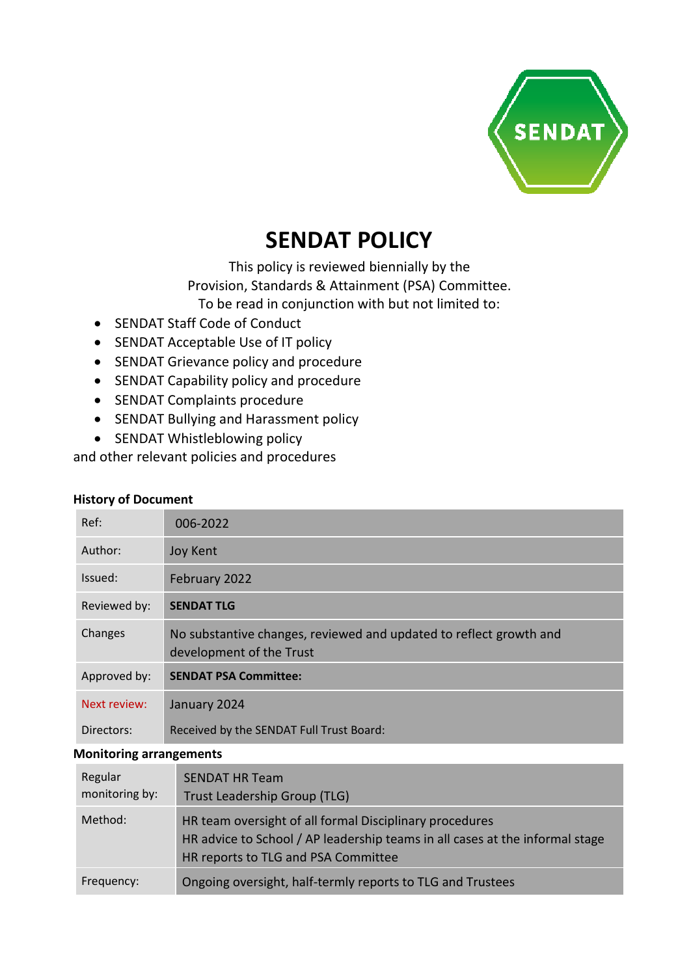

# **SENDAT POLICY**

This policy is reviewed biennially by the Provision, Standards & Attainment (PSA) Committee.

To be read in conjunction with but not limited to:

- SENDAT Staff Code of Conduct
- SENDAT Acceptable Use of IT policy
- SENDAT Grievance policy and procedure
- SENDAT Capability policy and procedure
- SENDAT Complaints procedure
- SENDAT Bullying and Harassment policy
- SENDAT Whistleblowing policy

and other relevant policies and procedures

|  | <b>History of Document</b> |
|--|----------------------------|
|--|----------------------------|

| Ref:         | 006-2022                                                                                       |
|--------------|------------------------------------------------------------------------------------------------|
| Author:      | Joy Kent                                                                                       |
| Issued:      | February 2022                                                                                  |
| Reviewed by: | <b>SENDAT TLG</b>                                                                              |
| Changes      | No substantive changes, reviewed and updated to reflect growth and<br>development of the Trust |
| Approved by: | <b>SENDAT PSA Committee:</b>                                                                   |
| Next review: |                                                                                                |
|              | January 2024                                                                                   |

#### **Monitoring arrangements**

| Regular<br>monitoring by: | <b>SENDAT HR Team</b><br>Trust Leadership Group (TLG)                                                                                                                          |
|---------------------------|--------------------------------------------------------------------------------------------------------------------------------------------------------------------------------|
| Method:                   | HR team oversight of all formal Disciplinary procedures<br>HR advice to School / AP leadership teams in all cases at the informal stage<br>HR reports to TLG and PSA Committee |
| Frequency:                | Ongoing oversight, half-termly reports to TLG and Trustees                                                                                                                     |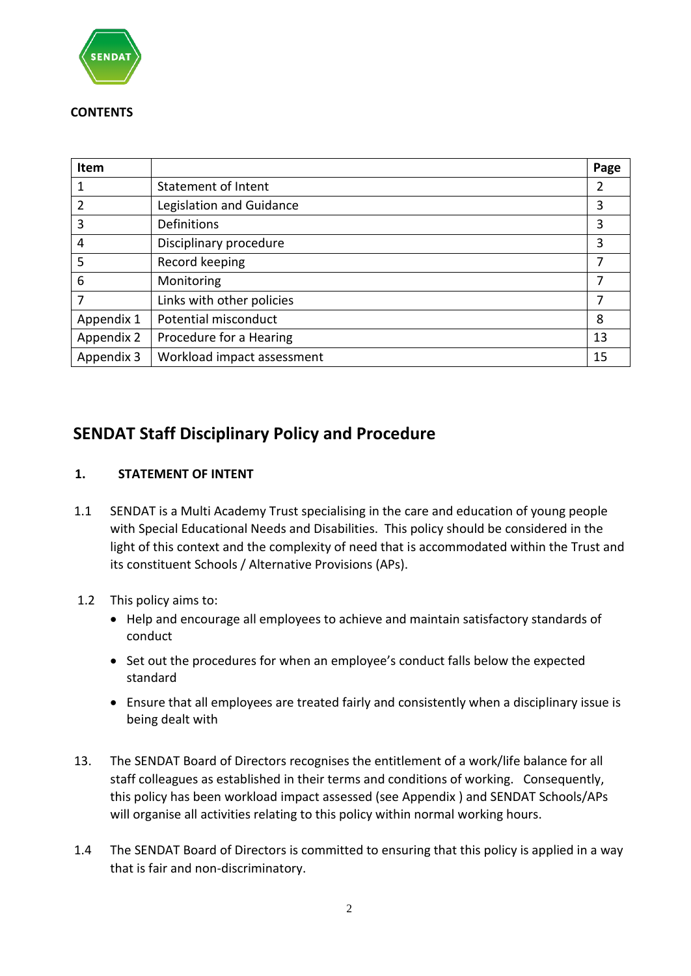

#### **CONTENTS**

| Item           |                            | Page |
|----------------|----------------------------|------|
|                | <b>Statement of Intent</b> | 2    |
| $\overline{2}$ | Legislation and Guidance   | 3    |
| 3              | Definitions                | 3    |
| 4              | Disciplinary procedure     | 3    |
| 5              | Record keeping             | 7    |
| 6              | Monitoring                 | 7    |
| 7              | Links with other policies  | 7    |
| Appendix 1     | Potential misconduct       | 8    |
| Appendix 2     | Procedure for a Hearing    | 13   |
| Appendix 3     | Workload impact assessment | 15   |

# **SENDAT Staff Disciplinary Policy and Procedure**

# **1. STATEMENT OF INTENT**

- 1.1 SENDAT is a Multi Academy Trust specialising in the care and education of young people with Special Educational Needs and Disabilities. This policy should be considered in the light of this context and the complexity of need that is accommodated within the Trust and its constituent Schools / Alternative Provisions (APs).
- 1.2 This policy aims to:
	- Help and encourage all employees to achieve and maintain satisfactory standards of conduct
	- Set out the procedures for when an employee's conduct falls below the expected standard
	- Ensure that all employees are treated fairly and consistently when a disciplinary issue is being dealt with
- 13. The SENDAT Board of Directors recognises the entitlement of a work/life balance for all staff colleagues as established in their terms and conditions of working. Consequently, this policy has been workload impact assessed (see Appendix ) and SENDAT Schools/APs will organise all activities relating to this policy within normal working hours.
- 1.4 The SENDAT Board of Directors is committed to ensuring that this policy is applied in a way that is fair and non-discriminatory.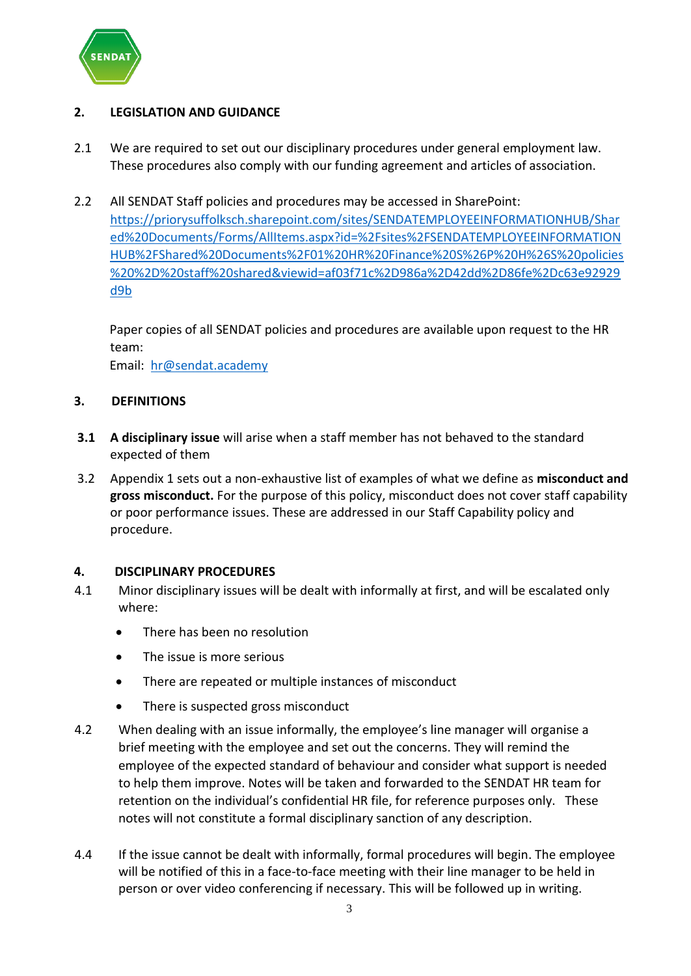

# **2. LEGISLATION AND GUIDANCE**

- 2.1 We are required to set out our disciplinary procedures under general employment law. These procedures also comply with our funding agreement and articles of association.
- 2.2 All SENDAT Staff policies and procedures may be accessed in SharePoint: [https://priorysuffolksch.sharepoint.com/sites/SENDATEMPLOYEEINFORMATIONHUB/Shar](https://priorysuffolksch.sharepoint.com/sites/SENDATEMPLOYEEINFORMATIONHUB/Shared%20Documents/Forms/AllItems.aspx?id=%2Fsites%2FSENDATEMPLOYEEINFORMATIONHUB%2FShared%20Documents%2F01%20HR%20Finance%20S%26P%20H%26S%20policies%20%2D%20staff%20shared&viewid=af03f71c%2D986a%2D42dd%2D86fe%2Dc63e92929d9b) [ed%20Documents/Forms/AllItems.aspx?id=%2Fsites%2FSENDATEMPLOYEEINFORMATION](https://priorysuffolksch.sharepoint.com/sites/SENDATEMPLOYEEINFORMATIONHUB/Shared%20Documents/Forms/AllItems.aspx?id=%2Fsites%2FSENDATEMPLOYEEINFORMATIONHUB%2FShared%20Documents%2F01%20HR%20Finance%20S%26P%20H%26S%20policies%20%2D%20staff%20shared&viewid=af03f71c%2D986a%2D42dd%2D86fe%2Dc63e92929d9b) [HUB%2FShared%20Documents%2F01%20HR%20Finance%20S%26P%20H%26S%20policies](https://priorysuffolksch.sharepoint.com/sites/SENDATEMPLOYEEINFORMATIONHUB/Shared%20Documents/Forms/AllItems.aspx?id=%2Fsites%2FSENDATEMPLOYEEINFORMATIONHUB%2FShared%20Documents%2F01%20HR%20Finance%20S%26P%20H%26S%20policies%20%2D%20staff%20shared&viewid=af03f71c%2D986a%2D42dd%2D86fe%2Dc63e92929d9b) [%20%2D%20staff%20shared&viewid=af03f71c%2D986a%2D42dd%2D86fe%2Dc63e92929](https://priorysuffolksch.sharepoint.com/sites/SENDATEMPLOYEEINFORMATIONHUB/Shared%20Documents/Forms/AllItems.aspx?id=%2Fsites%2FSENDATEMPLOYEEINFORMATIONHUB%2FShared%20Documents%2F01%20HR%20Finance%20S%26P%20H%26S%20policies%20%2D%20staff%20shared&viewid=af03f71c%2D986a%2D42dd%2D86fe%2Dc63e92929d9b) [d9b](https://priorysuffolksch.sharepoint.com/sites/SENDATEMPLOYEEINFORMATIONHUB/Shared%20Documents/Forms/AllItems.aspx?id=%2Fsites%2FSENDATEMPLOYEEINFORMATIONHUB%2FShared%20Documents%2F01%20HR%20Finance%20S%26P%20H%26S%20policies%20%2D%20staff%20shared&viewid=af03f71c%2D986a%2D42dd%2D86fe%2Dc63e92929d9b)

Paper copies of all SENDAT policies and procedures are available upon request to the HR team:

Email: [hr@sendat.academy](mailto:hr@sendat.academy)

#### **3. DEFINITIONS**

- **3.1 A disciplinary issue** will arise when a staff member has not behaved to the standard expected of them
- 3.2 Appendix 1 sets out a non-exhaustive list of examples of what we define as **misconduct and gross misconduct.** For the purpose of this policy, misconduct does not cover staff capability or poor performance issues. These are addressed in our Staff Capability policy and procedure.

#### **4. DISCIPLINARY PROCEDURES**

- 4.1 Minor disciplinary issues will be dealt with informally at first, and will be escalated only where:
	- There has been no resolution
	- The issue is more serious
	- There are repeated or multiple instances of misconduct
	- There is suspected gross misconduct
- 4.2 When dealing with an issue informally, the employee's line manager will organise a brief meeting with the employee and set out the concerns. They will remind the employee of the expected standard of behaviour and consider what support is needed to help them improve. Notes will be taken and forwarded to the SENDAT HR team for retention on the individual's confidential HR file, for reference purposes only. These notes will not constitute a formal disciplinary sanction of any description.
- 4.4 If the issue cannot be dealt with informally, formal procedures will begin. The employee will be notified of this in a face-to-face meeting with their line manager to be held in person or over video conferencing if necessary. This will be followed up in writing.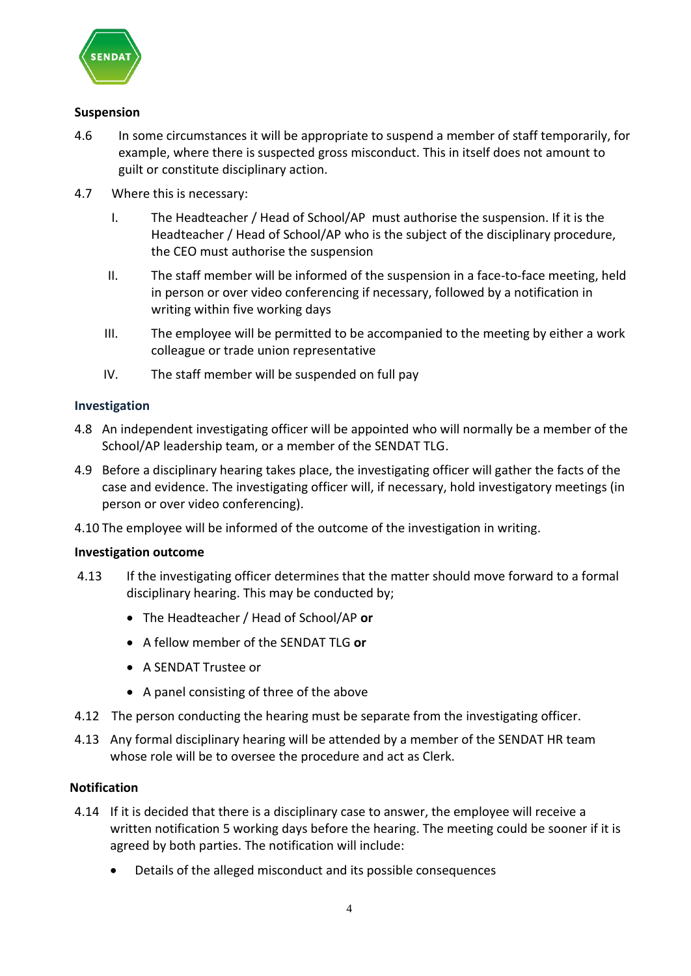

### **Suspension**

- 4.6 In some circumstances it will be appropriate to suspend a member of staff temporarily, for example, where there is suspected gross misconduct. This in itself does not amount to guilt or constitute disciplinary action.
- 4.7 Where this is necessary:
	- I. The Headteacher / Head of School/AP must authorise the suspension. If it is the Headteacher / Head of School/AP who is the subject of the disciplinary procedure, the CEO must authorise the suspension
	- II. The staff member will be informed of the suspension in a face-to-face meeting, held in person or over video conferencing if necessary, followed by a notification in writing within five working days
	- III. The employee will be permitted to be accompanied to the meeting by either a work colleague or trade union representative
	- IV. The staff member will be suspended on full pay

#### **Investigation**

- 4.8 An independent investigating officer will be appointed who will normally be a member of the School/AP leadership team, or a member of the SENDAT TLG.
- 4.9 Before a disciplinary hearing takes place, the investigating officer will gather the facts of the case and evidence. The investigating officer will, if necessary, hold investigatory meetings (in person or over video conferencing).
- 4.10 The employee will be informed of the outcome of the investigation in writing.

#### **Investigation outcome**

- 4.13 If the investigating officer determines that the matter should move forward to a formal disciplinary hearing. This may be conducted by;
	- The Headteacher / Head of School/AP **or**
	- A fellow member of the SENDAT TLG **or**
	- A SENDAT Trustee or
	- A panel consisting of three of the above
- 4.12 The person conducting the hearing must be separate from the investigating officer.
- 4.13 Any formal disciplinary hearing will be attended by a member of the SENDAT HR team whose role will be to oversee the procedure and act as Clerk.

#### **Notification**

- 4.14 If it is decided that there is a disciplinary case to answer, the employee will receive a written notification 5 working days before the hearing. The meeting could be sooner if it is agreed by both parties. The notification will include:
	- Details of the alleged misconduct and its possible consequences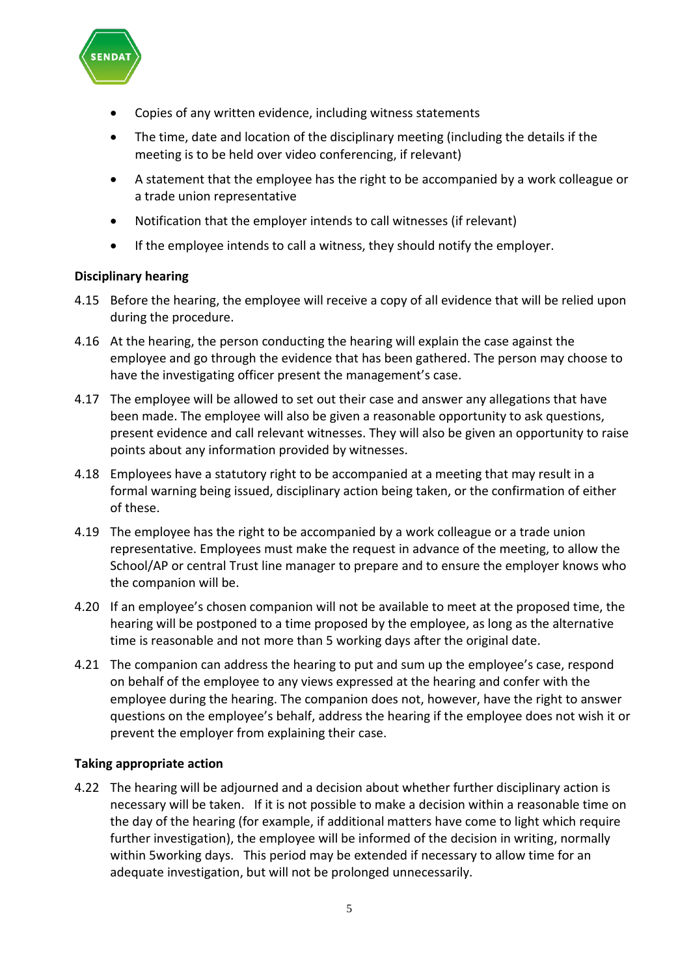

- Copies of any written evidence, including witness statements
- The time, date and location of the disciplinary meeting (including the details if the meeting is to be held over video conferencing, if relevant)
- A statement that the employee has the right to be accompanied by a work colleague or a trade union representative
- Notification that the employer intends to call witnesses (if relevant)
- If the employee intends to call a witness, they should notify the employer.

#### **Disciplinary hearing**

- 4.15 Before the hearing, the employee will receive a copy of all evidence that will be relied upon during the procedure.
- 4.16 At the hearing, the person conducting the hearing will explain the case against the employee and go through the evidence that has been gathered. The person may choose to have the investigating officer present the management's case.
- 4.17 The employee will be allowed to set out their case and answer any allegations that have been made. The employee will also be given a reasonable opportunity to ask questions, present evidence and call relevant witnesses. They will also be given an opportunity to raise points about any information provided by witnesses.
- 4.18 Employees have a statutory right to be accompanied at a meeting that may result in a formal warning being issued, disciplinary action being taken, or the confirmation of either of these.
- 4.19 The employee has the right to be accompanied by a work colleague or a trade union representative. Employees must make the request in advance of the meeting, to allow the School/AP or central Trust line manager to prepare and to ensure the employer knows who the companion will be.
- 4.20 If an employee's chosen companion will not be available to meet at the proposed time, the hearing will be postponed to a time proposed by the employee, as long as the alternative time is reasonable and not more than 5 working days after the original date.
- 4.21 The companion can address the hearing to put and sum up the employee's case, respond on behalf of the employee to any views expressed at the hearing and confer with the employee during the hearing. The companion does not, however, have the right to answer questions on the employee's behalf, address the hearing if the employee does not wish it or prevent the employer from explaining their case.

#### **Taking appropriate action**

4.22 The hearing will be adjourned and a decision about whether further disciplinary action is necessary will be taken. If it is not possible to make a decision within a reasonable time on the day of the hearing (for example, if additional matters have come to light which require further investigation), the employee will be informed of the decision in writing, normally within 5working days. This period may be extended if necessary to allow time for an adequate investigation, but will not be prolonged unnecessarily.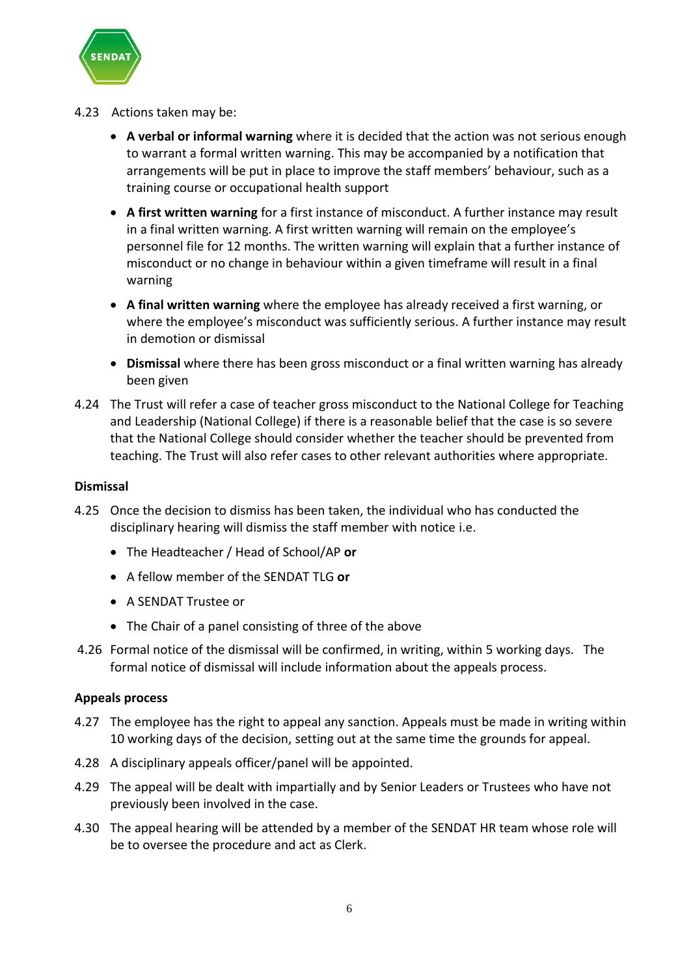

- 4.23 Actions taken may be:
	- **A verbal or informal warning** where it is decided that the action was not serious enough to warrant a formal written warning. This may be accompanied by a notification that arrangements will be put in place to improve the staff members' behaviour, such as a training course or occupational health support
	- **A first written warning** for a first instance of misconduct. A further instance may result in a final written warning. A first written warning will remain on the employee's personnel file for 12 months. The written warning will explain that a further instance of misconduct or no change in behaviour within a given timeframe will result in a final warning
	- **A final written warning** where the employee has already received a first warning, or where the employee's misconduct was sufficiently serious. A further instance may result in demotion or dismissal
	- **Dismissal** where there has been gross misconduct or a final written warning has already been given
- 4.24 The Trust will refer a case of teacher gross misconduct to the National College for Teaching and Leadership (National College) if there is a reasonable belief that the case is so severe that the National College should consider whether the teacher should be prevented from teaching. The Trust will also refer cases to other relevant authorities where appropriate.

#### **Dismissal**

- 4.25 Once the decision to dismiss has been taken, the individual who has conducted the disciplinary hearing will dismiss the staff member with notice i.e.
	- The Headteacher / Head of School/AP **or**
	- A fellow member of the SENDAT TLG **or**
	- A SENDAT Trustee or
	- The Chair of a panel consisting of three of the above
- 4.26 Formal notice of the dismissal will be confirmed, in writing, within 5 working days. The formal notice of dismissal will include information about the appeals process.

#### **Appeals process**

- 4.27 The employee has the right to appeal any sanction. Appeals must be made in writing within 10 working days of the decision, setting out at the same time the grounds for appeal.
- 4.28 A disciplinary appeals officer/panel will be appointed.
- 4.29 The appeal will be dealt with impartially and by Senior Leaders or Trustees who have not previously been involved in the case.
- 4.30 The appeal hearing will be attended by a member of the SENDAT HR team whose role will be to oversee the procedure and act as Clerk.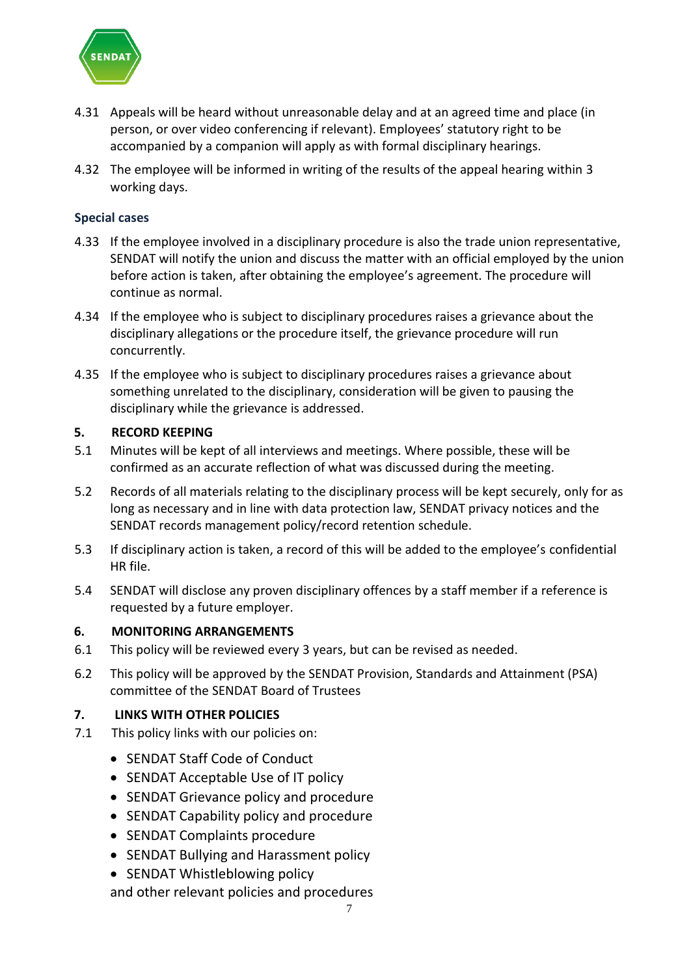

- 4.31 Appeals will be heard without unreasonable delay and at an agreed time and place (in person, or over video conferencing if relevant). Employees' statutory right to be accompanied by a companion will apply as with formal disciplinary hearings.
- 4.32 The employee will be informed in writing of the results of the appeal hearing within 3 working days.

#### **Special cases**

- 4.33 If the employee involved in a disciplinary procedure is also the trade union representative, SENDAT will notify the union and discuss the matter with an official employed by the union before action is taken, after obtaining the employee's agreement. The procedure will continue as normal.
- 4.34 If the employee who is subject to disciplinary procedures raises a grievance about the disciplinary allegations or the procedure itself, the grievance procedure will run concurrently.
- 4.35 If the employee who is subject to disciplinary procedures raises a grievance about something unrelated to the disciplinary, consideration will be given to pausing the disciplinary while the grievance is addressed.

#### **5. RECORD KEEPING**

- 5.1 Minutes will be kept of all interviews and meetings. Where possible, these will be confirmed as an accurate reflection of what was discussed during the meeting.
- 5.2 Records of all materials relating to the disciplinary process will be kept securely, only for as long as necessary and in line with data protection law, SENDAT privacy notices and the SENDAT records management policy/record retention schedule.
- 5.3 If disciplinary action is taken, a record of this will be added to the employee's confidential HR file.
- 5.4 SENDAT will disclose any proven disciplinary offences by a staff member if a reference is requested by a future employer.

#### **6. MONITORING ARRANGEMENTS**

- 6.1 This policy will be reviewed every 3 years, but can be revised as needed.
- 6.2 This policy will be approved by the SENDAT Provision, Standards and Attainment (PSA) committee of the SENDAT Board of Trustees

#### **7. LINKS WITH OTHER POLICIES**

- 7.1 This policy links with our policies on:
	- SENDAT Staff Code of Conduct
	- SENDAT Acceptable Use of IT policy
	- SENDAT Grievance policy and procedure
	- SENDAT Capability policy and procedure
	- SENDAT Complaints procedure
	- SENDAT Bullying and Harassment policy
	- SENDAT Whistleblowing policy

and other relevant policies and procedures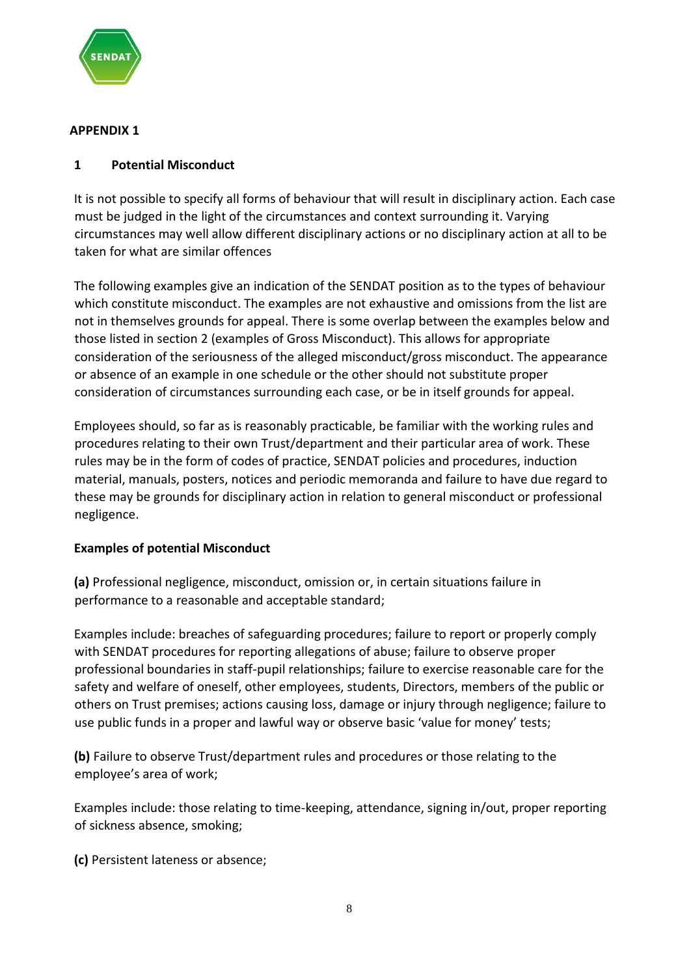

### **APPENDIX 1**

# **1 Potential Misconduct**

It is not possible to specify all forms of behaviour that will result in disciplinary action. Each case must be judged in the light of the circumstances and context surrounding it. Varying circumstances may well allow different disciplinary actions or no disciplinary action at all to be taken for what are similar offences

The following examples give an indication of the SENDAT position as to the types of behaviour which constitute misconduct. The examples are not exhaustive and omissions from the list are not in themselves grounds for appeal. There is some overlap between the examples below and those listed in section 2 (examples of Gross Misconduct). This allows for appropriate consideration of the seriousness of the alleged misconduct/gross misconduct. The appearance or absence of an example in one schedule or the other should not substitute proper consideration of circumstances surrounding each case, or be in itself grounds for appeal.

Employees should, so far as is reasonably practicable, be familiar with the working rules and procedures relating to their own Trust/department and their particular area of work. These rules may be in the form of codes of practice, SENDAT policies and procedures, induction material, manuals, posters, notices and periodic memoranda and failure to have due regard to these may be grounds for disciplinary action in relation to general misconduct or professional negligence.

# **Examples of potential Misconduct**

**(a)** Professional negligence, misconduct, omission or, in certain situations failure in performance to a reasonable and acceptable standard;

Examples include: breaches of safeguarding procedures; failure to report or properly comply with SENDAT procedures for reporting allegations of abuse; failure to observe proper professional boundaries in staff-pupil relationships; failure to exercise reasonable care for the safety and welfare of oneself, other employees, students, Directors, members of the public or others on Trust premises; actions causing loss, damage or injury through negligence; failure to use public funds in a proper and lawful way or observe basic 'value for money' tests;

**(b)** Failure to observe Trust/department rules and procedures or those relating to the employee's area of work;

Examples include: those relating to time-keeping, attendance, signing in/out, proper reporting of sickness absence, smoking;

**(c)** Persistent lateness or absence;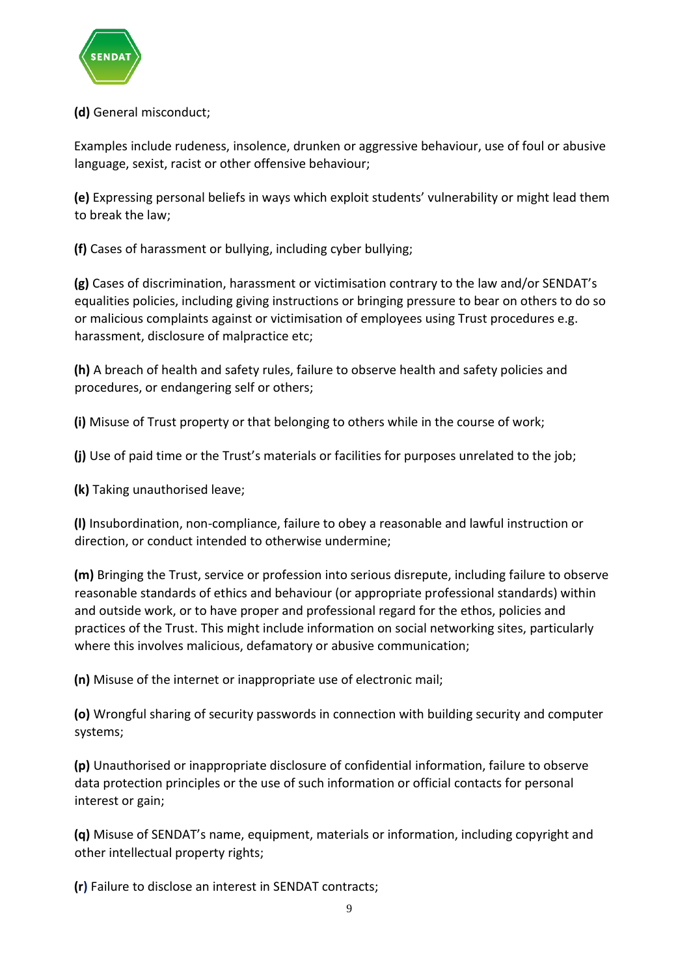

# **(d)** General misconduct;

Examples include rudeness, insolence, drunken or aggressive behaviour, use of foul or abusive language, sexist, racist or other offensive behaviour;

**(e)** Expressing personal beliefs in ways which exploit students' vulnerability or might lead them to break the law;

**(f)** Cases of harassment or bullying, including cyber bullying;

**(g)** Cases of discrimination, harassment or victimisation contrary to the law and/or SENDAT's equalities policies, including giving instructions or bringing pressure to bear on others to do so or malicious complaints against or victimisation of employees using Trust procedures e.g. harassment, disclosure of malpractice etc;

**(h)** A breach of health and safety rules, failure to observe health and safety policies and procedures, or endangering self or others;

**(i)** Misuse of Trust property or that belonging to others while in the course of work;

**(j)** Use of paid time or the Trust's materials or facilities for purposes unrelated to the job;

**(k)** Taking unauthorised leave;

**(l)** Insubordination, non-compliance, failure to obey a reasonable and lawful instruction or direction, or conduct intended to otherwise undermine;

**(m)** Bringing the Trust, service or profession into serious disrepute, including failure to observe reasonable standards of ethics and behaviour (or appropriate professional standards) within and outside work, or to have proper and professional regard for the ethos, policies and practices of the Trust. This might include information on social networking sites, particularly where this involves malicious, defamatory or abusive communication;

**(n)** Misuse of the internet or inappropriate use of electronic mail;

**(o)** Wrongful sharing of security passwords in connection with building security and computer systems;

**(p)** Unauthorised or inappropriate disclosure of confidential information, failure to observe data protection principles or the use of such information or official contacts for personal interest or gain;

**(q)** Misuse of SENDAT's name, equipment, materials or information, including copyright and other intellectual property rights;

**(r)** Failure to disclose an interest in SENDAT contracts;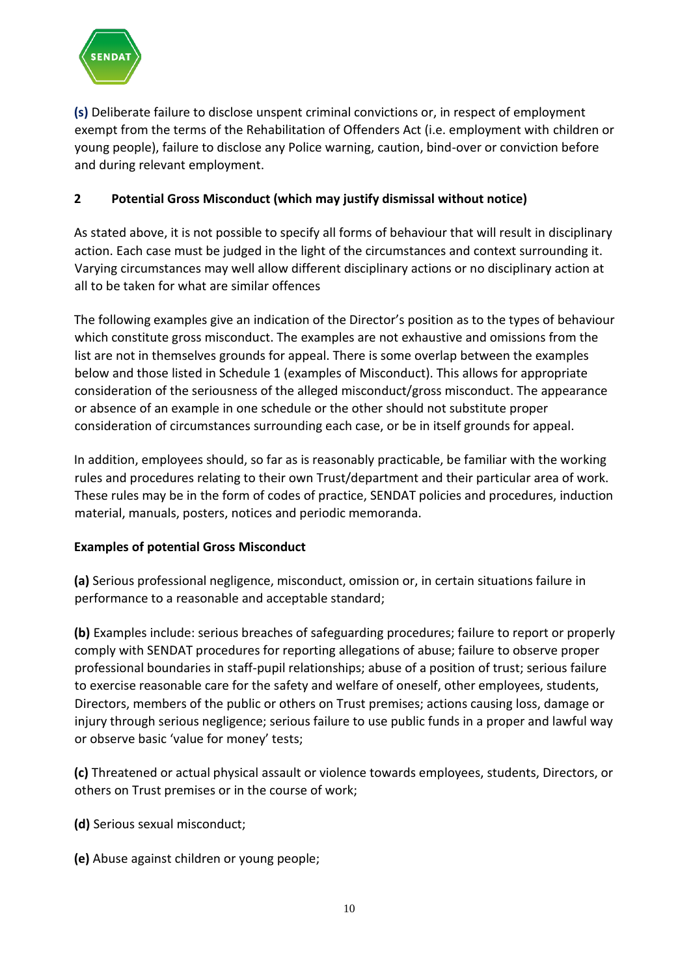

**(s)** Deliberate failure to disclose unspent criminal convictions or, in respect of employment exempt from the terms of the Rehabilitation of Offenders Act (i.e. employment with children or young people), failure to disclose any Police warning, caution, bind-over or conviction before and during relevant employment.

# **2 Potential Gross Misconduct (which may justify dismissal without notice)**

As stated above, it is not possible to specify all forms of behaviour that will result in disciplinary action. Each case must be judged in the light of the circumstances and context surrounding it. Varying circumstances may well allow different disciplinary actions or no disciplinary action at all to be taken for what are similar offences

The following examples give an indication of the Director's position as to the types of behaviour which constitute gross misconduct. The examples are not exhaustive and omissions from the list are not in themselves grounds for appeal. There is some overlap between the examples below and those listed in Schedule 1 (examples of Misconduct). This allows for appropriate consideration of the seriousness of the alleged misconduct/gross misconduct. The appearance or absence of an example in one schedule or the other should not substitute proper consideration of circumstances surrounding each case, or be in itself grounds for appeal.

In addition, employees should, so far as is reasonably practicable, be familiar with the working rules and procedures relating to their own Trust/department and their particular area of work. These rules may be in the form of codes of practice, SENDAT policies and procedures, induction material, manuals, posters, notices and periodic memoranda.

#### **Examples of potential Gross Misconduct**

**(a)** Serious professional negligence, misconduct, omission or, in certain situations failure in performance to a reasonable and acceptable standard;

**(b)** Examples include: serious breaches of safeguarding procedures; failure to report or properly comply with SENDAT procedures for reporting allegations of abuse; failure to observe proper professional boundaries in staff-pupil relationships; abuse of a position of trust; serious failure to exercise reasonable care for the safety and welfare of oneself, other employees, students, Directors, members of the public or others on Trust premises; actions causing loss, damage or injury through serious negligence; serious failure to use public funds in a proper and lawful way or observe basic 'value for money' tests;

**(c)** Threatened or actual physical assault or violence towards employees, students, Directors, or others on Trust premises or in the course of work;

- **(d)** Serious sexual misconduct;
- **(e)** Abuse against children or young people;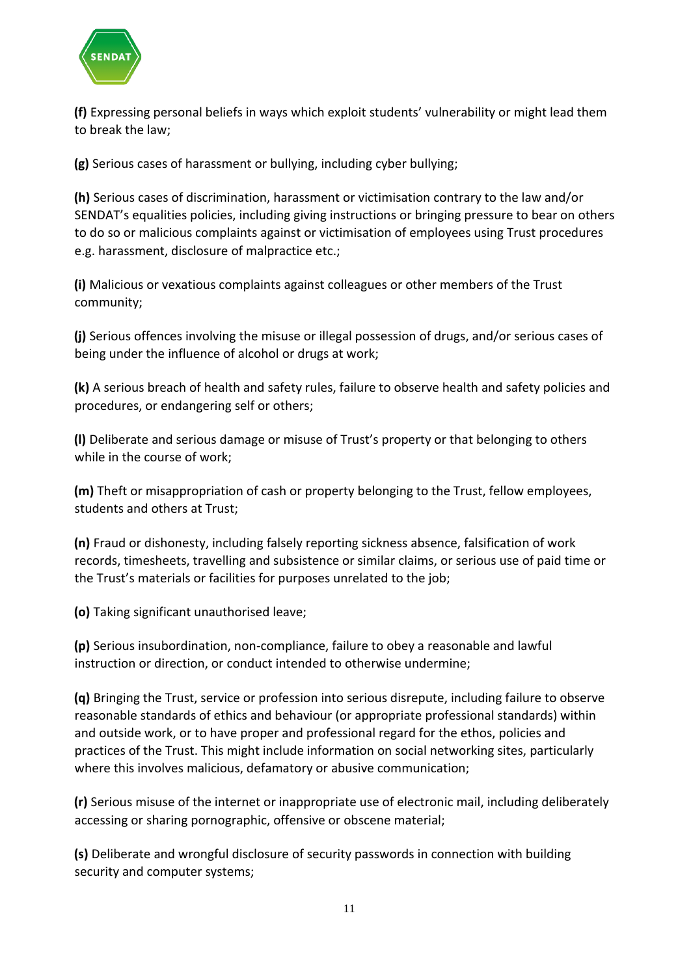

**(f)** Expressing personal beliefs in ways which exploit students' vulnerability or might lead them to break the law;

**(g)** Serious cases of harassment or bullying, including cyber bullying;

**(h)** Serious cases of discrimination, harassment or victimisation contrary to the law and/or SENDAT's equalities policies, including giving instructions or bringing pressure to bear on others to do so or malicious complaints against or victimisation of employees using Trust procedures e.g. harassment, disclosure of malpractice etc.;

**(i)** Malicious or vexatious complaints against colleagues or other members of the Trust community;

**(j)** Serious offences involving the misuse or illegal possession of drugs, and/or serious cases of being under the influence of alcohol or drugs at work;

**(k)** A serious breach of health and safety rules, failure to observe health and safety policies and procedures, or endangering self or others;

**(l)** Deliberate and serious damage or misuse of Trust's property or that belonging to others while in the course of work;

**(m)** Theft or misappropriation of cash or property belonging to the Trust, fellow employees, students and others at Trust;

**(n)** Fraud or dishonesty, including falsely reporting sickness absence, falsification of work records, timesheets, travelling and subsistence or similar claims, or serious use of paid time or the Trust's materials or facilities for purposes unrelated to the job;

**(o)** Taking significant unauthorised leave;

**(p)** Serious insubordination, non-compliance, failure to obey a reasonable and lawful instruction or direction, or conduct intended to otherwise undermine;

**(q)** Bringing the Trust, service or profession into serious disrepute, including failure to observe reasonable standards of ethics and behaviour (or appropriate professional standards) within and outside work, or to have proper and professional regard for the ethos, policies and practices of the Trust. This might include information on social networking sites, particularly where this involves malicious, defamatory or abusive communication;

**(r)** Serious misuse of the internet or inappropriate use of electronic mail, including deliberately accessing or sharing pornographic, offensive or obscene material;

**(s)** Deliberate and wrongful disclosure of security passwords in connection with building security and computer systems;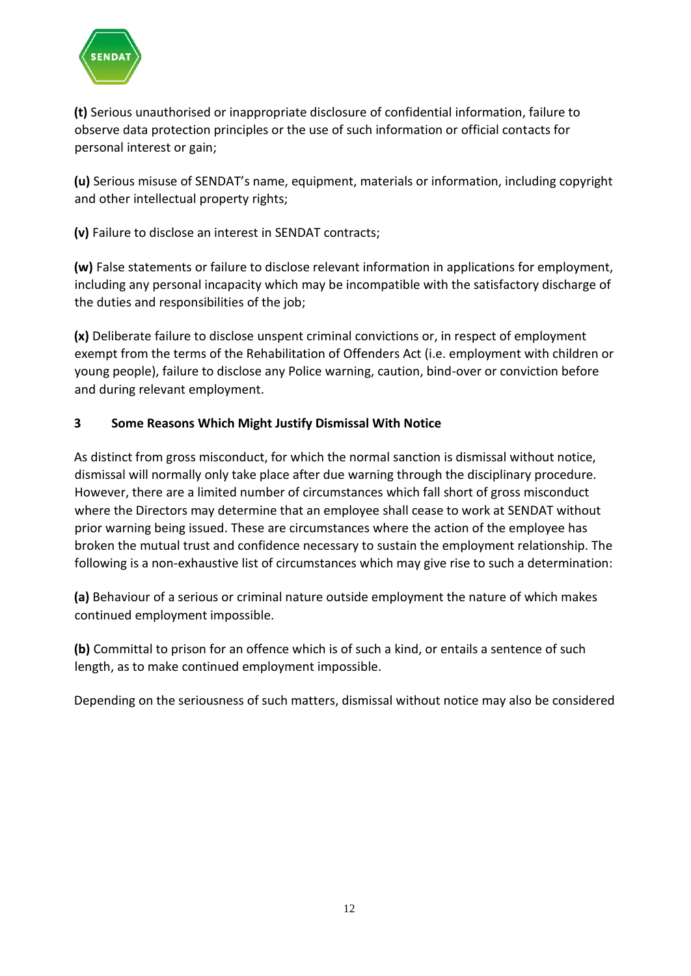

**(t)** Serious unauthorised or inappropriate disclosure of confidential information, failure to observe data protection principles or the use of such information or official contacts for personal interest or gain;

**(u)** Serious misuse of SENDAT's name, equipment, materials or information, including copyright and other intellectual property rights;

**(v)** Failure to disclose an interest in SENDAT contracts;

**(w)** False statements or failure to disclose relevant information in applications for employment, including any personal incapacity which may be incompatible with the satisfactory discharge of the duties and responsibilities of the job;

**(x)** Deliberate failure to disclose unspent criminal convictions or, in respect of employment exempt from the terms of the Rehabilitation of Offenders Act (i.e. employment with children or young people), failure to disclose any Police warning, caution, bind-over or conviction before and during relevant employment.

# **3 Some Reasons Which Might Justify Dismissal With Notice**

As distinct from gross misconduct, for which the normal sanction is dismissal without notice, dismissal will normally only take place after due warning through the disciplinary procedure. However, there are a limited number of circumstances which fall short of gross misconduct where the Directors may determine that an employee shall cease to work at SENDAT without prior warning being issued. These are circumstances where the action of the employee has broken the mutual trust and confidence necessary to sustain the employment relationship. The following is a non-exhaustive list of circumstances which may give rise to such a determination:

**(a)** Behaviour of a serious or criminal nature outside employment the nature of which makes continued employment impossible.

**(b)** Committal to prison for an offence which is of such a kind, or entails a sentence of such length, as to make continued employment impossible.

Depending on the seriousness of such matters, dismissal without notice may also be considered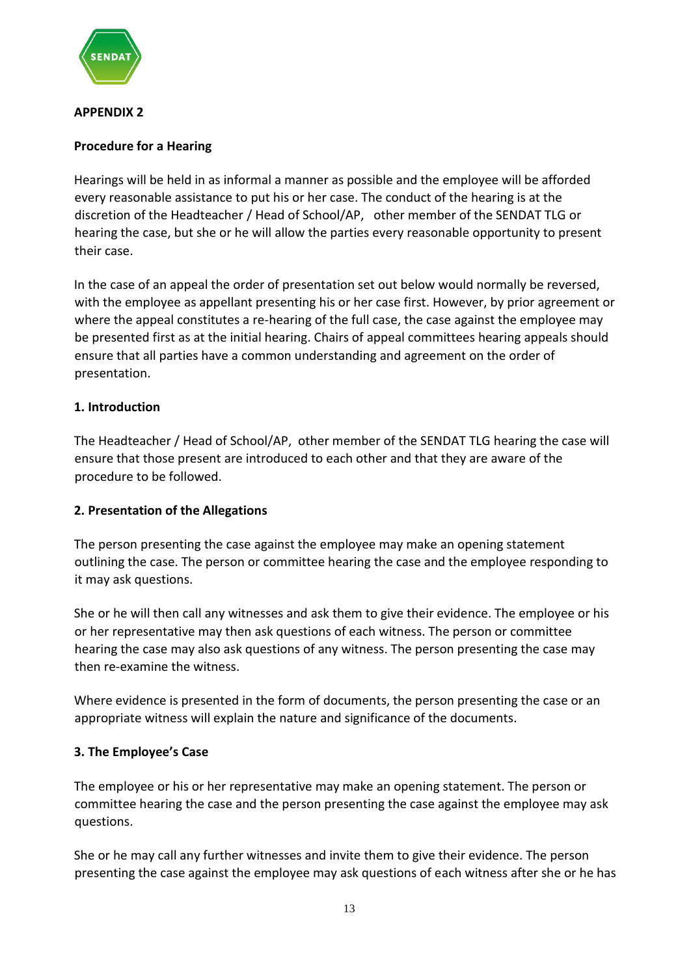

# **APPENDIX 2**

# **Procedure for a Hearing**

Hearings will be held in as informal a manner as possible and the employee will be afforded every reasonable assistance to put his or her case. The conduct of the hearing is at the discretion of the Headteacher / Head of School/AP, other member of the SENDAT TLG or hearing the case, but she or he will allow the parties every reasonable opportunity to present their case.

In the case of an appeal the order of presentation set out below would normally be reversed, with the employee as appellant presenting his or her case first. However, by prior agreement or where the appeal constitutes a re-hearing of the full case, the case against the employee may be presented first as at the initial hearing. Chairs of appeal committees hearing appeals should ensure that all parties have a common understanding and agreement on the order of presentation.

# **1. Introduction**

The Headteacher / Head of School/AP, other member of the SENDAT TLG hearing the case will ensure that those present are introduced to each other and that they are aware of the procedure to be followed.

#### **2. Presentation of the Allegations**

The person presenting the case against the employee may make an opening statement outlining the case. The person or committee hearing the case and the employee responding to it may ask questions.

She or he will then call any witnesses and ask them to give their evidence. The employee or his or her representative may then ask questions of each witness. The person or committee hearing the case may also ask questions of any witness. The person presenting the case may then re-examine the witness.

Where evidence is presented in the form of documents, the person presenting the case or an appropriate witness will explain the nature and significance of the documents.

#### **3. The Employee's Case**

The employee or his or her representative may make an opening statement. The person or committee hearing the case and the person presenting the case against the employee may ask questions.

She or he may call any further witnesses and invite them to give their evidence. The person presenting the case against the employee may ask questions of each witness after she or he has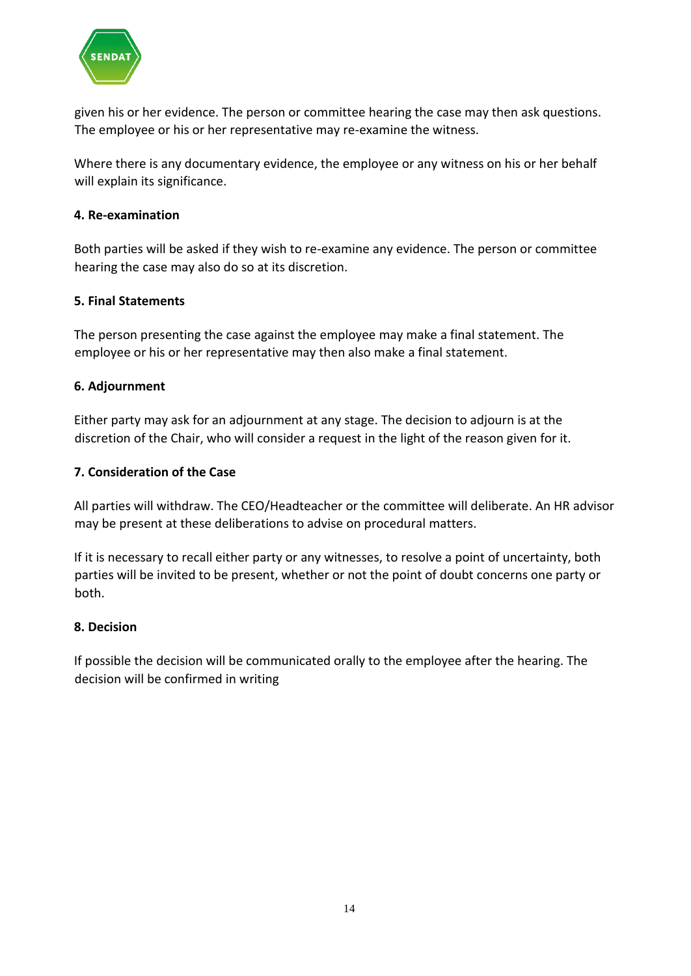

given his or her evidence. The person or committee hearing the case may then ask questions. The employee or his or her representative may re-examine the witness.

Where there is any documentary evidence, the employee or any witness on his or her behalf will explain its significance.

#### **4. Re-examination**

Both parties will be asked if they wish to re-examine any evidence. The person or committee hearing the case may also do so at its discretion.

#### **5. Final Statements**

The person presenting the case against the employee may make a final statement. The employee or his or her representative may then also make a final statement.

#### **6. Adjournment**

Either party may ask for an adjournment at any stage. The decision to adjourn is at the discretion of the Chair, who will consider a request in the light of the reason given for it.

#### **7. Consideration of the Case**

All parties will withdraw. The CEO/Headteacher or the committee will deliberate. An HR advisor may be present at these deliberations to advise on procedural matters.

If it is necessary to recall either party or any witnesses, to resolve a point of uncertainty, both parties will be invited to be present, whether or not the point of doubt concerns one party or both.

#### **8. Decision**

If possible the decision will be communicated orally to the employee after the hearing. The decision will be confirmed in writing